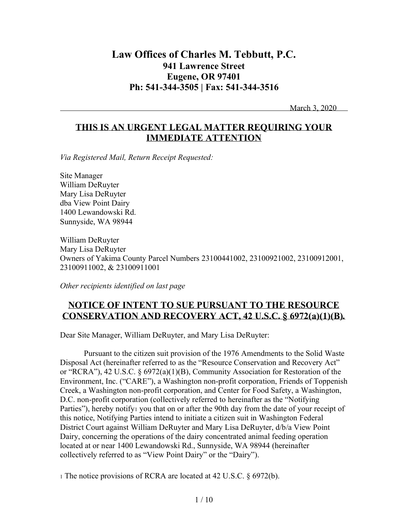# **Law Offices of Charles M. Tebbutt, P.C. 941 Lawrence Street Eugene, OR 97401 Ph: 541-344-3505 | Fax: 541-344-3516**

March 3, 2020

## **THIS IS AN URGENT LEGAL MATTER REQUIRING YOUR IMMEDIATE ATTENTION**

*Via Registered Mail, Return Receipt Requested:*

Site Manager William DeRuyter Mary Lisa DeRuyter dba View Point Dairy 1400 Lewandowski Rd. Sunnyside, WA 98944

William DeRuyter Mary Lisa DeRuyter Owners of Yakima County Parcel Numbers 23100441002, 23100921002, 23100912001, 23100911002, & 23100911001

*Other recipients identified on last page*

## **NOTICE OF INTENT TO SUE PURSUANT TO THE RESOURCE CONSERVATION AND RECOVERY ACT, 42 U.S.C. § 6972(a)(1)(B)***.*

Dear Site Manager, William DeRuyter, and Mary Lisa DeRuyter:

Pursuant to the citizen suit provision of the 1976 Amendments to the Solid Waste Disposal Act (hereinafter referred to as the "Resource Conservation and Recovery Act" or "RCRA"), 42 U.S.C. § 6972(a)(1)(B), Community Association for Restoration of the Environment, Inc. ("CARE"), a Washington non-profit corporation, Friends of Toppenish Creek, a Washington non-profit corporation, and Center for Food Safety, a Washington, D.C. non-profit corporation (collectively referred to hereinafter as the "Notifying Parties"), hereby notify<sub>1</sub> you that on or after the 90th day from the date of your receipt of this notice, Notifying Parties intend to initiate a citizen suit in Washington Federal District Court against William DeRuyter and Mary Lisa DeRuyter, d/b/a View Point Dairy, concerning the operations of the dairy concentrated animal feeding operation located at or near 1400 Lewandowski Rd., Sunnyside, WA 98944 (hereinafter collectively referred to as "View Point Dairy" or the "Dairy").

<sup>1</sup> The notice provisions of RCRA are located at 42 U.S.C. § 6972(b).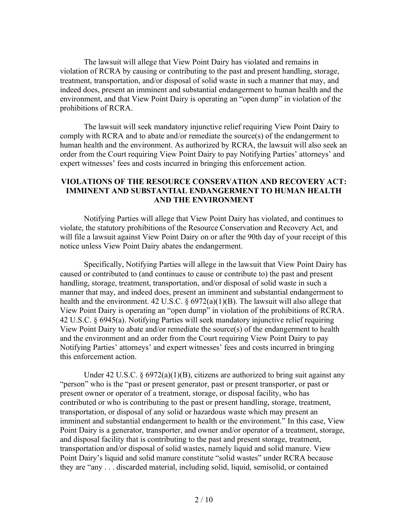The lawsuit will allege that View Point Dairy has violated and remains in violation of RCRA by causing or contributing to the past and present handling, storage, treatment, transportation, and/or disposal of solid waste in such a manner that may, and indeed does, present an imminent and substantial endangerment to human health and the environment, and that View Point Dairy is operating an "open dump" in violation of the prohibitions of RCRA.

The lawsuit will seek mandatory injunctive relief requiring View Point Dairy to comply with RCRA and to abate and/or remediate the source(s) of the endangerment to human health and the environment. As authorized by RCRA, the lawsuit will also seek an order from the Court requiring View Point Dairy to pay Notifying Parties' attorneys' and expert witnesses' fees and costs incurred in bringing this enforcement action.

### **VIOLATIONS OF THE RESOURCE CONSERVATION AND RECOVERY ACT: IMMINENT AND SUBSTANTIAL ENDANGERMENT TO HUMAN HEALTH AND THE ENVIRONMENT**

Notifying Parties will allege that View Point Dairy has violated, and continues to violate, the statutory prohibitions of the Resource Conservation and Recovery Act, and will file a lawsuit against View Point Dairy on or after the 90th day of your receipt of this notice unless View Point Dairy abates the endangerment.

Specifically, Notifying Parties will allege in the lawsuit that View Point Dairy has caused or contributed to (and continues to cause or contribute to) the past and present handling, storage, treatment, transportation, and/or disposal of solid waste in such a manner that may, and indeed does, present an imminent and substantial endangerment to health and the environment. 42 U.S.C. § 6972(a)(1)(B). The lawsuit will also allege that View Point Dairy is operating an "open dump" in violation of the prohibitions of RCRA. 42 U.S.C. § 6945(a). Notifying Parties will seek mandatory injunctive relief requiring View Point Dairy to abate and/or remediate the source(s) of the endangerment to health and the environment and an order from the Court requiring View Point Dairy to pay Notifying Parties' attorneys' and expert witnesses' fees and costs incurred in bringing this enforcement action.

Under 42 U.S.C.  $\S 6972(a)(1)(B)$ , citizens are authorized to bring suit against any "person" who is the "past or present generator, past or present transporter, or past or present owner or operator of a treatment, storage, or disposal facility, who has contributed or who is contributing to the past or present handling, storage, treatment, transportation, or disposal of any solid or hazardous waste which may present an imminent and substantial endangerment to health or the environment." In this case, View Point Dairy is a generator, transporter, and owner and/or operator of a treatment, storage, and disposal facility that is contributing to the past and present storage, treatment, transportation and/or disposal of solid wastes, namely liquid and solid manure. View Point Dairy's liquid and solid manure constitute "solid wastes" under RCRA because they are "any . . . discarded material, including solid, liquid, semisolid, or contained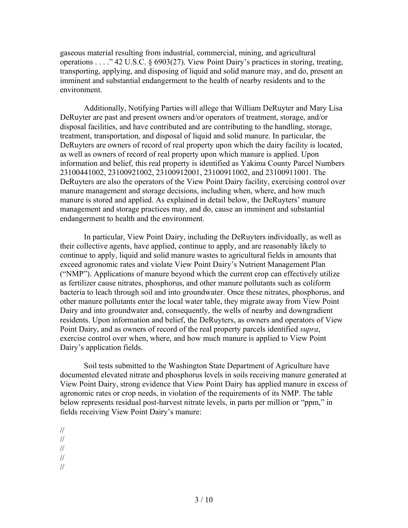gaseous material resulting from industrial, commercial, mining, and agricultural operations . . . ." 42 U.S.C. § 6903(27). View Point Dairy's practices in storing, treating, transporting, applying, and disposing of liquid and solid manure may, and do, present an imminent and substantial endangerment to the health of nearby residents and to the environment.

Additionally, Notifying Parties will allege that William DeRuyter and Mary Lisa DeRuyter are past and present owners and/or operators of treatment, storage, and/or disposal facilities, and have contributed and are contributing to the handling, storage, treatment, transportation, and disposal of liquid and solid manure. In particular, the DeRuyters are owners of record of real property upon which the dairy facility is located, as well as owners of record of real property upon which manure is applied. Upon information and belief, this real property is identified as Yakima County Parcel Numbers 23100441002, 23100921002, 23100912001, 23100911002, and 23100911001. The DeRuyters are also the operators of the View Point Dairy facility, exercising control over manure management and storage decisions, including when, where, and how much manure is stored and applied. As explained in detail below, the DeRuyters' manure management and storage practices may, and do, cause an imminent and substantial endangerment to health and the environment.

In particular, View Point Dairy, including the DeRuyters individually, as well as their collective agents, have applied, continue to apply, and are reasonably likely to continue to apply, liquid and solid manure wastes to agricultural fields in amounts that exceed agronomic rates and violate View Point Dairy's Nutrient Management Plan ("NMP"). Applications of manure beyond which the current crop can effectively utilize as fertilizer cause nitrates, phosphorus, and other manure pollutants such as coliform bacteria to leach through soil and into groundwater. Once these nitrates, phosphorus, and other manure pollutants enter the local water table, they migrate away from View Point Dairy and into groundwater and, consequently, the wells of nearby and downgradient residents. Upon information and belief, the DeRuyters, as owners and operators of View Point Dairy, and as owners of record of the real property parcels identified *supra*, exercise control over when, where, and how much manure is applied to View Point Dairy's application fields.

Soil tests submitted to the Washington State Department of Agriculture have documented elevated nitrate and phosphorus levels in soils receiving manure generated at View Point Dairy, strong evidence that View Point Dairy has applied manure in excess of agronomic rates or crop needs, in violation of the requirements of its NMP. The table below represents residual post-harvest nitrate levels, in parts per million or "ppm," in fields receiving View Point Dairy's manure:

- //
- //
- //
- //

<sup>//</sup>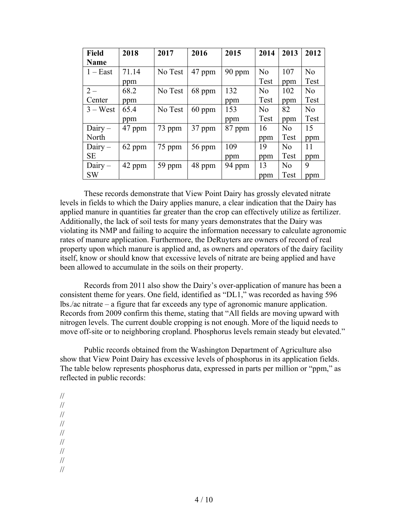| <b>Field</b> | 2018   | 2017    | 2016   | 2015   | 2014           | 2013           | 2012           |
|--------------|--------|---------|--------|--------|----------------|----------------|----------------|
| <b>Name</b>  |        |         |        |        |                |                |                |
| $1 - East$   | 71.14  | No Test | 47 ppm | 90 ppm | N <sub>0</sub> | 107            | N <sub>o</sub> |
|              | ppm    |         |        |        | Test           | ppm            | Test           |
| $2-$         | 68.2   | No Test | 68 ppm | 132    | N <sub>0</sub> | 102            | N <sub>0</sub> |
| Center       | ppm    |         |        | ppm    | Test           | ppm            | Test           |
| $3 - West$   | 65.4   | No Test | 60 ppm | 153    | N <sub>0</sub> | 82             | N <sub>0</sub> |
|              | ppm    |         |        | ppm    | Test           | ppm            | Test           |
| $Dairy -$    | 47 ppm | 73 ppm  | 37 ppm | 87 ppm | 16             | N <sub>0</sub> | 15             |
| North        |        |         |        |        | ppm            | Test           | ppm            |
| $Dairy -$    | 62 ppm | 75 ppm  | 56 ppm | 109    | 19             | N <sub>0</sub> | 11             |
| <b>SE</b>    |        |         |        | ppm    | ppm            | Test           | ppm            |
| $Dairy -$    | 42 ppm | 59 ppm  | 48 ppm | 94 ppm | 13             | N <sub>0</sub> | 9              |
| <b>SW</b>    |        |         |        |        | ppm            | <b>Test</b>    | ppm            |

These records demonstrate that View Point Dairy has grossly elevated nitrate levels in fields to which the Dairy applies manure, a clear indication that the Dairy has applied manure in quantities far greater than the crop can effectively utilize as fertilizer. Additionally, the lack of soil tests for many years demonstrates that the Dairy was violating its NMP and failing to acquire the information necessary to calculate agronomic rates of manure application. Furthermore, the DeRuyters are owners of record of real property upon which manure is applied and, as owners and operators of the dairy facility itself, know or should know that excessive levels of nitrate are being applied and have been allowed to accumulate in the soils on their property.

Records from 2011 also show the Dairy's over-application of manure has been a consistent theme for years. One field, identified as "DL1," was recorded as having 596 lbs./ac nitrate – a figure that far exceeds any type of agronomic manure application. Records from 2009 confirm this theme, stating that "All fields are moving upward with nitrogen levels. The current double cropping is not enough. More of the liquid needs to move off-site or to neighboring cropland. Phosphorus levels remain steady but elevated."

Public records obtained from the Washington Department of Agriculture also show that View Point Dairy has excessive levels of phosphorus in its application fields. The table below represents phosphorus data, expressed in parts per million or "ppm," as reflected in public records:

// // // // // // // //

//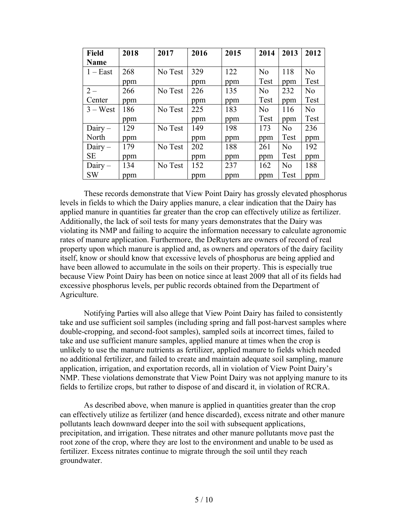| <b>Field</b> | 2018 | 2017    | 2016 | 2015 | 2014           | 2013           | 2012           |
|--------------|------|---------|------|------|----------------|----------------|----------------|
| <b>Name</b>  |      |         |      |      |                |                |                |
| $1 - East$   | 268  | No Test | 329  | 122  | N <sub>o</sub> | 118            | N <sub>0</sub> |
|              | ppm  |         | ppm  | ppm  | Test           | ppm            | Test           |
| $2 -$        | 266  | No Test | 226  | 135  | N <sub>0</sub> | 232            | N <sub>0</sub> |
| Center       | ppm  |         | ppm  | ppm  | Test           | ppm            | Test           |
| $3 - West$   | 186  | No Test | 225  | 183  | N <sub>0</sub> | 116            | N <sub>0</sub> |
|              | ppm  |         | ppm  | ppm  | Test           | ppm            | Test           |
| $Dairy -$    | 129  | No Test | 149  | 198  | 173            | N <sub>0</sub> | 236            |
| North        | ppm  |         | ppm  | ppm  | ppm            | Test           | ppm            |
| $Dairy -$    | 179  | No Test | 202  | 188  | 261            | N <sub>0</sub> | 192            |
| <b>SE</b>    | ppm  |         | ppm  | ppm  | ppm            | Test           | ppm            |
| $Dairy -$    | 134  | No Test | 152  | 237  | 162            | N <sub>0</sub> | 188            |
| <b>SW</b>    | ppm  |         | ppm  | ppm  | ppm            | Test           | ppm            |

These records demonstrate that View Point Dairy has grossly elevated phosphorus levels in fields to which the Dairy applies manure, a clear indication that the Dairy has applied manure in quantities far greater than the crop can effectively utilize as fertilizer. Additionally, the lack of soil tests for many years demonstrates that the Dairy was violating its NMP and failing to acquire the information necessary to calculate agronomic rates of manure application. Furthermore, the DeRuyters are owners of record of real property upon which manure is applied and, as owners and operators of the dairy facility itself, know or should know that excessive levels of phosphorus are being applied and have been allowed to accumulate in the soils on their property. This is especially true because View Point Dairy has been on notice since at least 2009 that all of its fields had excessive phosphorus levels, per public records obtained from the Department of Agriculture.

Notifying Parties will also allege that View Point Dairy has failed to consistently take and use sufficient soil samples (including spring and fall post-harvest samples where double-cropping, and second-foot samples), sampled soils at incorrect times, failed to take and use sufficient manure samples, applied manure at times when the crop is unlikely to use the manure nutrients as fertilizer, applied manure to fields which needed no additional fertilizer, and failed to create and maintain adequate soil sampling, manure application, irrigation, and exportation records, all in violation of View Point Dairy's NMP. These violations demonstrate that View Point Dairy was not applying manure to its fields to fertilize crops, but rather to dispose of and discard it, in violation of RCRA.

As described above, when manure is applied in quantities greater than the crop can effectively utilize as fertilizer (and hence discarded), excess nitrate and other manure pollutants leach downward deeper into the soil with subsequent applications, precipitation, and irrigation. These nitrates and other manure pollutants move past the root zone of the crop, where they are lost to the environment and unable to be used as fertilizer. Excess nitrates continue to migrate through the soil until they reach groundwater.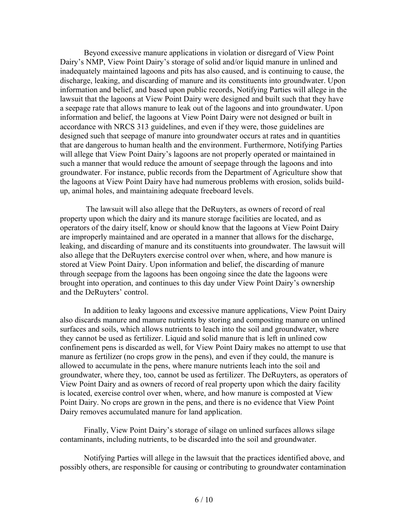Beyond excessive manure applications in violation or disregard of View Point Dairy's NMP, View Point Dairy's storage of solid and/or liquid manure in unlined and inadequately maintained lagoons and pits has also caused, and is continuing to cause, the discharge, leaking, and discarding of manure and its constituents into groundwater. Upon information and belief, and based upon public records, Notifying Parties will allege in the lawsuit that the lagoons at View Point Dairy were designed and built such that they have a seepage rate that allows manure to leak out of the lagoons and into groundwater. Upon information and belief, the lagoons at View Point Dairy were not designed or built in accordance with NRCS 313 guidelines, and even if they were, those guidelines are designed such that seepage of manure into groundwater occurs at rates and in quantities that are dangerous to human health and the environment. Furthermore, Notifying Parties will allege that View Point Dairy's lagoons are not properly operated or maintained in such a manner that would reduce the amount of seepage through the lagoons and into groundwater. For instance, public records from the Department of Agriculture show that the lagoons at View Point Dairy have had numerous problems with erosion, solids buildup, animal holes, and maintaining adequate freeboard levels.

The lawsuit will also allege that the DeRuyters, as owners of record of real property upon which the dairy and its manure storage facilities are located, and as operators of the dairy itself, know or should know that the lagoons at View Point Dairy are improperly maintained and are operated in a manner that allows for the discharge, leaking, and discarding of manure and its constituents into groundwater. The lawsuit will also allege that the DeRuyters exercise control over when, where, and how manure is stored at View Point Dairy. Upon information and belief, the discarding of manure through seepage from the lagoons has been ongoing since the date the lagoons were brought into operation, and continues to this day under View Point Dairy's ownership and the DeRuyters' control.

In addition to leaky lagoons and excessive manure applications, View Point Dairy also discards manure and manure nutrients by storing and composting manure on unlined surfaces and soils, which allows nutrients to leach into the soil and groundwater, where they cannot be used as fertilizer. Liquid and solid manure that is left in unlined cow confinement pens is discarded as well, for View Point Dairy makes no attempt to use that manure as fertilizer (no crops grow in the pens), and even if they could, the manure is allowed to accumulate in the pens, where manure nutrients leach into the soil and groundwater, where they, too, cannot be used as fertilizer. The DeRuyters, as operators of View Point Dairy and as owners of record of real property upon which the dairy facility is located, exercise control over when, where, and how manure is composted at View Point Dairy. No crops are grown in the pens, and there is no evidence that View Point Dairy removes accumulated manure for land application.

Finally, View Point Dairy's storage of silage on unlined surfaces allows silage contaminants, including nutrients, to be discarded into the soil and groundwater.

Notifying Parties will allege in the lawsuit that the practices identified above, and possibly others, are responsible for causing or contributing to groundwater contamination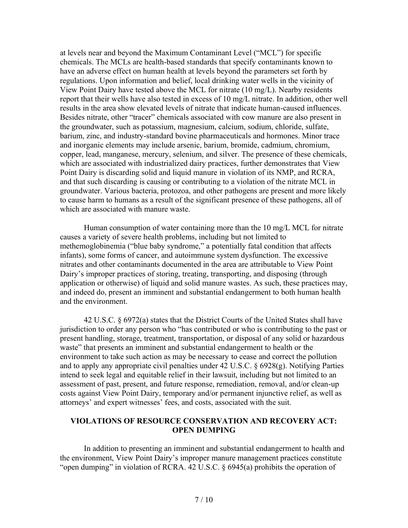at levels near and beyond the Maximum Contaminant Level ("MCL") for specific chemicals. The MCLs are health-based standards that specify contaminants known to have an adverse effect on human health at levels beyond the parameters set forth by regulations. Upon information and belief, local drinking water wells in the vicinity of View Point Dairy have tested above the MCL for nitrate (10 mg/L). Nearby residents report that their wells have also tested in excess of 10 mg/L nitrate. In addition, other well results in the area show elevated levels of nitrate that indicate human-caused influences. Besides nitrate, other "tracer" chemicals associated with cow manure are also present in the groundwater, such as potassium, magnesium, calcium, sodium, chloride, sulfate, barium, zinc, and industry-standard bovine pharmaceuticals and hormones. Minor trace and inorganic elements may include arsenic, barium, bromide, cadmium, chromium, copper, lead, manganese, mercury, selenium, and silver. The presence of these chemicals, which are associated with industrialized dairy practices, further demonstrates that View Point Dairy is discarding solid and liquid manure in violation of its NMP, and RCRA, and that such discarding is causing or contributing to a violation of the nitrate MCL in groundwater. Various bacteria, protozoa, and other pathogens are present and more likely to cause harm to humans as a result of the significant presence of these pathogens, all of which are associated with manure waste.

Human consumption of water containing more than the 10 mg/L MCL for nitrate causes a variety of severe health problems, including but not limited to methemoglobinemia ("blue baby syndrome," a potentially fatal condition that affects infants), some forms of cancer, and autoimmune system dysfunction. The excessive nitrates and other contaminants documented in the area are attributable to View Point Dairy's improper practices of storing, treating, transporting, and disposing (through application or otherwise) of liquid and solid manure wastes. As such, these practices may, and indeed do, present an imminent and substantial endangerment to both human health and the environment.

42 U.S.C. § 6972(a) states that the District Courts of the United States shall have jurisdiction to order any person who "has contributed or who is contributing to the past or present handling, storage, treatment, transportation, or disposal of any solid or hazardous waste" that presents an imminent and substantial endangerment to health or the environment to take such action as may be necessary to cease and correct the pollution and to apply any appropriate civil penalties under 42 U.S.C. § 6928(g). Notifying Parties intend to seek legal and equitable relief in their lawsuit, including but not limited to an assessment of past, present, and future response, remediation, removal, and/or clean-up costs against View Point Dairy, temporary and/or permanent injunctive relief, as well as attorneys' and expert witnesses' fees, and costs, associated with the suit.

### **VIOLATIONS OF RESOURCE CONSERVATION AND RECOVERY ACT: OPEN DUMPING**

In addition to presenting an imminent and substantial endangerment to health and the environment, View Point Dairy's improper manure management practices constitute "open dumping" in violation of RCRA. 42 U.S.C. § 6945(a) prohibits the operation of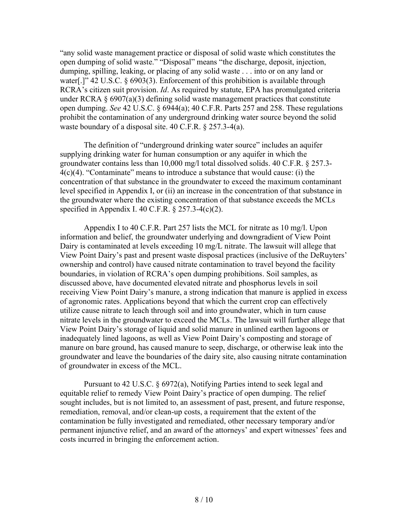"any solid waste management practice or disposal of solid waste which constitutes the open dumping of solid waste." "Disposal" means "the discharge, deposit, injection, dumping, spilling, leaking, or placing of any solid waste . . . into or on any land or water[.]" 42 U.S.C. § 6903(3). Enforcement of this prohibition is available through RCRA's citizen suit provision. *Id*. As required by statute, EPA has promulgated criteria under RCRA  $\S 6907(a)(3)$  defining solid waste management practices that constitute open dumping. *See* 42 U.S.C. § 6944(a); 40 C.F.R. Parts 257 and 258. These regulations prohibit the contamination of any underground drinking water source beyond the solid waste boundary of a disposal site. 40 C.F.R. § 257.3-4(a).

The definition of "underground drinking water source" includes an aquifer supplying drinking water for human consumption or any aquifer in which the groundwater contains less than 10,000 mg/l total dissolved solids. 40 C.F.R. § 257.3-  $4(c)(4)$ . "Contaminate" means to introduce a substance that would cause: (i) the concentration of that substance in the groundwater to exceed the maximum contaminant level specified in Appendix I, or (ii) an increase in the concentration of that substance in the groundwater where the existing concentration of that substance exceeds the MCLs specified in Appendix I. 40 C.F.R.  $\S$  257.3-4(c)(2).

Appendix I to 40 C.F.R. Part 257 lists the MCL for nitrate as 10 mg/l. Upon information and belief, the groundwater underlying and downgradient of View Point Dairy is contaminated at levels exceeding 10 mg/L nitrate. The lawsuit will allege that View Point Dairy's past and present waste disposal practices (inclusive of the DeRuyters' ownership and control) have caused nitrate contamination to travel beyond the facility boundaries, in violation of RCRA's open dumping prohibitions. Soil samples, as discussed above, have documented elevated nitrate and phosphorus levels in soil receiving View Point Dairy's manure, a strong indication that manure is applied in excess of agronomic rates. Applications beyond that which the current crop can effectively utilize cause nitrate to leach through soil and into groundwater, which in turn cause nitrate levels in the groundwater to exceed the MCLs. The lawsuit will further allege that View Point Dairy's storage of liquid and solid manure in unlined earthen lagoons or inadequately lined lagoons, as well as View Point Dairy's composting and storage of manure on bare ground, has caused manure to seep, discharge, or otherwise leak into the groundwater and leave the boundaries of the dairy site, also causing nitrate contamination of groundwater in excess of the MCL.

Pursuant to 42 U.S.C. § 6972(a), Notifying Parties intend to seek legal and equitable relief to remedy View Point Dairy's practice of open dumping. The relief sought includes, but is not limited to, an assessment of past, present, and future response, remediation, removal, and/or clean-up costs, a requirement that the extent of the contamination be fully investigated and remediated, other necessary temporary and/or permanent injunctive relief, and an award of the attorneys' and expert witnesses' fees and costs incurred in bringing the enforcement action.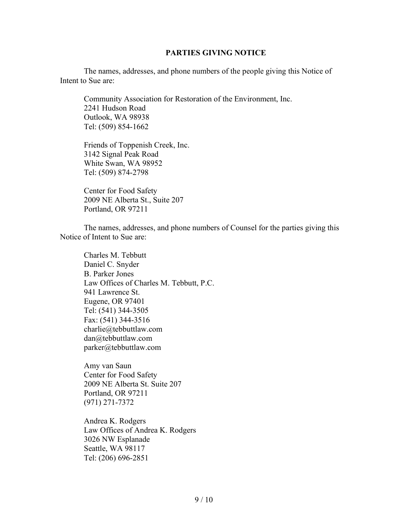#### **PARTIES GIVING NOTICE**

The names, addresses, and phone numbers of the people giving this Notice of Intent to Sue are:

Community Association for Restoration of the Environment, Inc. 2241 Hudson Road Outlook, WA 98938 Tel: (509) 854-1662

Friends of Toppenish Creek, Inc. 3142 Signal Peak Road White Swan, WA 98952 Tel: (509) 874-2798

Center for Food Safety 2009 NE Alberta St., Suite 207 Portland, OR 97211

The names, addresses, and phone numbers of Counsel for the parties giving this Notice of Intent to Sue are:

Charles M. Tebbutt Daniel C. Snyder B. Parker Jones Law Offices of Charles M. Tebbutt, P.C. 941 Lawrence St. Eugene, OR 97401 Tel: (541) 344-3505 Fax: (541) 344-3516 charlie@tebbuttlaw.com dan@tebbuttlaw.com parker@tebbuttlaw.com

Amy van Saun Center for Food Safety 2009 NE Alberta St. Suite 207 Portland, OR 97211 (971) 271-7372

Andrea K. Rodgers Law Offices of Andrea K. Rodgers 3026 NW Esplanade Seattle, WA 98117 Tel: (206) 696-2851